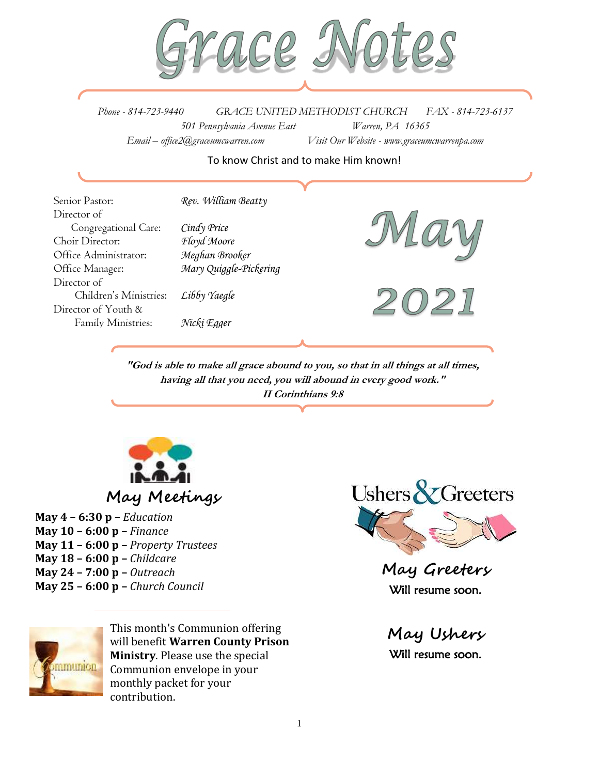

*Phone - 814-723-9440 GRACE UNITED METHODIST CHURCH FAX - 814-723-6137 501 Pennsylvania Avenue East Warren, PA 16365 Email – office2@graceumcwarren.com Visit Our Website - www.graceumcwarrenpa.com* 

#### To know Christ and to make Him known!

Senior Pastor: *Rev. William Beatty* Director of Congregational Care: *Cindy Price* Choir Director: *Floyd Moore* Office Administrator: *Meghan Brooker* Office Manager: *Mary Quiggle-Pickering* Director of Children's Ministries: *Libby Yaegle* Director of Youth & Family Ministries: *Nicki Egger*



**"God is able to make all grace abound to you, so that in all things at all times, having all that you need, you will abound in every good work." II Corinthians 9:8**



# **May Meetings**

**May 4 – 6:30 p –** *Education* **May 10 – 6:00 p –** *Finance* **May 11 – 6:00 p –** *Property Trustees* **May 18 – 6:00 p –** *Childcare* **May 24 – 7:00 p –** *Outreach* **May 25 – 6:00 p –** *Church Council*



This month's Communion offering will benefit **Warren County Prison Ministry**. Please use the special Communion envelope in your monthly packet for your contribution.



**May Greeters** Will resume soon.

**May Ushers** Will resume soon.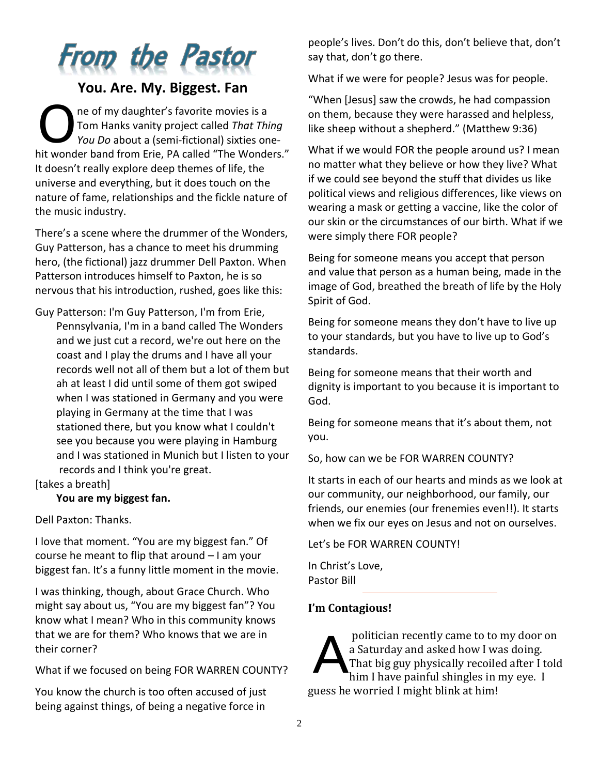# **From the Pastor**

# **You. Are. My. Biggest. Fan**

ne of my daughter's favorite movies is a Tom Hanks vanity project called *That Thing You Do* about a (semi-fictional) sixties onehit wonder band from Erie, PA called "The Wonders." It doesn't really explore deep themes of life, the universe and everything, but it does touch on the nature of fame, relationships and the fickle nature of the music industry. O

There's a scene where the drummer of the Wonders, Guy Patterson, has a chance to meet his drumming hero, (the fictional) jazz drummer Dell Paxton. When Patterson introduces himself to Paxton, he is so nervous that his introduction, rushed, goes like this:

Guy Patterson: I'm Guy Patterson, I'm from Erie, Pennsylvania, I'm in a band called The Wonders and we just cut a record, we're out here on the coast and I play the drums and I have all your records well not all of them but a lot of them but ah at least I did until some of them got swiped when I was stationed in Germany and you were playing in Germany at the time that I was stationed there, but you know what I couldn't see you because you were playing in Hamburg and I was stationed in Munich but I listen to your records and I think you're great.

[takes a breath]

**You are my biggest fan.**

Dell Paxton: Thanks.

I love that moment. "You are my biggest fan." Of course he meant to flip that around – I am your biggest fan. It's a funny little moment in the movie.

I was thinking, though, about Grace Church. Who might say about us, "You are my biggest fan"? You know what I mean? Who in this community knows that we are for them? Who knows that we are in their corner?

What if we focused on being FOR WARREN COUNTY?

You know the church is too often accused of just being against things, of being a negative force in

people's lives. Don't do this, don't believe that, don't say that, don't go there.

What if we were for people? Jesus was for people.

"When [Jesus] saw the crowds, he had compassion on them, because they were harassed and helpless, like sheep without a shepherd." (Matthew 9:36)

What if we would FOR the people around us? I mean no matter what they believe or how they live? What if we could see beyond the stuff that divides us like political views and religious differences, like views on wearing a mask or getting a vaccine, like the color of our skin or the circumstances of our birth. What if we were simply there FOR people?

Being for someone means you accept that person and value that person as a human being, made in the image of God, breathed the breath of life by the Holy Spirit of God.

Being for someone means they don't have to live up to your standards, but you have to live up to God's standards.

Being for someone means that their worth and dignity is important to you because it is important to God.

Being for someone means that it's about them, not you.

So, how can we be FOR WARREN COUNTY?

It starts in each of our hearts and minds as we look at our community, our neighborhood, our family, our friends, our enemies (our frenemies even!!). It starts when we fix our eyes on Jesus and not on ourselves.

Let's be FOR WARREN COUNTY!

In Christ's Love, Pastor Bill

# **I'm Contagious!**

politician recently came to to my door on a Saturday and asked how I was doing. That big guy physically recoiled after I told him I have painful shingles in my eye. I guess he worried I might blink at him! A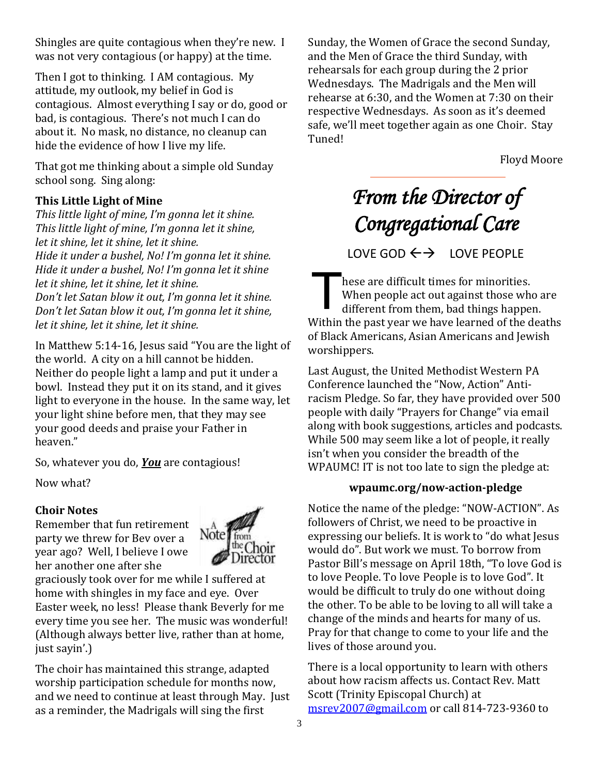Shingles are quite contagious when they're new. I was not very contagious (or happy) at the time.

Then I got to thinking. I AM contagious. My attitude, my outlook, my belief in God is contagious. Almost everything I say or do, good or bad, is contagious. There's not much I can do about it. No mask, no distance, no cleanup can hide the evidence of how I live my life.

That got me thinking about a simple old Sunday school song. Sing along:

# **This Little Light of Mine**

*This little light of mine, I'm gonna let it shine. This little light of mine, I'm gonna let it shine, let it shine, let it shine, let it shine. Hide it under a bushel, No! I'm gonna let it shine. Hide it under a bushel, No! I'm gonna let it shine let it shine, let it shine, let it shine. Don't let Satan blow it out, I'm gonna let it shine. Don't let Satan blow it out, I'm gonna let it shine, let it shine, let it shine, let it shine.*

In Matthew 5:14-16, Jesus said "You are the light of the world. A city on a hill cannot be hidden. Neither do people light a lamp and put it under a bowl. Instead they put it on its stand, and it gives light to everyone in the house. In the same way, let your light shine before men, that they may see your good deeds and praise your Father in heaven."

So, whatever you do, *You* are contagious!

Now what?

# **Choir Notes**

Remember that fun retirement party we threw for Bev over a year ago? Well, I believe I owe her another one after she



graciously took over for me while I suffered at home with shingles in my face and eye. Over Easter week, no less! Please thank Beverly for me every time you see her. The music was wonderful! (Although always better live, rather than at home, just sayin'.)

The choir has maintained this strange, adapted worship participation schedule for months now, and we need to continue at least through May. Just as a reminder, the Madrigals will sing the first

Sunday, the Women of Grace the second Sunday, and the Men of Grace the third Sunday, with rehearsals for each group during the 2 prior Wednesdays. The Madrigals and the Men will rehearse at 6:30, and the Women at 7:30 on their respective Wednesdays. As soon as it's deemed safe, we'll meet together again as one Choir. Stay Tuned!

Floyd Moore

# *From the Director of Congregational Care*

LOVE GOD  $\leftrightarrow$  LOVE PEOPLE

hese are difficult times for minorities. When people act out against those who are different from them, bad things happen. Within the past year we have learned of the deaths of Black Americans, Asian Americans and Jewish worshippers. T

Last August, the United Methodist Western PA Conference launched the "Now, Action" Antiracism Pledge. So far, they have provided over 500 people with daily "Prayers for Change" via email along with book suggestions, articles and podcasts. While 500 may seem like a lot of people, it really isn't when you consider the breadth of the WPAUMC! IT is not too late to sign the pledge at:

# **wpaumc.org/now-action-pledge**

Notice the name of the pledge: "NOW-ACTION". As followers of Christ, we need to be proactive in expressing our beliefs. It is work to "do what Jesus would do". But work we must. To borrow from Pastor Bill's message on April 18th, "To love God is to love People. To love People is to love God". It would be difficult to truly do one without doing the other. To be able to be loving to all will take a change of the minds and hearts for many of us. Pray for that change to come to your life and the lives of those around you.

There is a local opportunity to learn with others about how racism affects us. Contact Rev. Matt Scott (Trinity Episcopal Church) at [msrev2007@gmail.com](mailto:msrev2007@gmail.com) or call 814-723-9360 to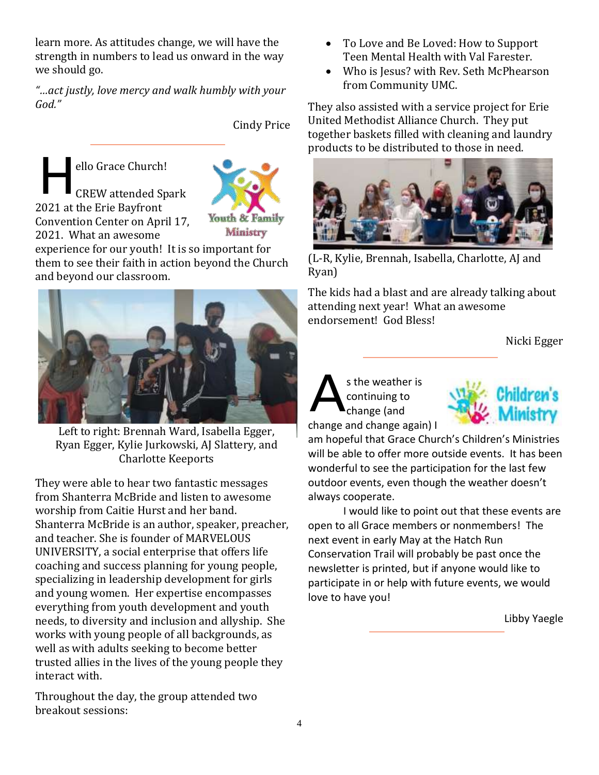learn more. As attitudes change, we will have the strength in numbers to lead us onward in the way we should go.

*"…act justly, love mercy and walk humbly with your God."*

Cindy Price

ello Grace Church! CREW attended Spark 2021 at the Erie Bayfront Convention Center on April 17, 2021. What an awesome H



experience for our youth! It is so important for them to see their faith in action beyond the Church and beyond our classroom.



Left to right: Brennah Ward, Isabella Egger, Ryan Egger, Kylie Jurkowski, AJ Slattery, and Charlotte Keeports

They were able to hear two fantastic messages from Shanterra McBride and listen to awesome worship from Caitie Hurst and her band. Shanterra McBride is an author, speaker, preacher, and teacher. She is founder of MARVELOUS UNIVERSITY, a social enterprise that offers life coaching and success planning for young people, specializing in leadership development for girls and young women. Her expertise encompasses everything from youth development and youth needs, to diversity and inclusion and allyship. She works with young people of all backgrounds, as well as with adults seeking to become better trusted allies in the lives of the young people they interact with.

Throughout the day, the group attended two breakout sessions:

- To Love and Be Loved: How to Support Teen Mental Health with Val Farester.
- Who is Jesus? with Rev. Seth McPhearson from Community UMC.

They also assisted with a service project for Erie United Methodist Alliance Church. They put together baskets filled with cleaning and laundry products to be distributed to those in need.



(L-R, Kylie, Brennah, Isabella, Charlotte, AJ and Ryan)

The kids had a blast and are already talking about attending next year! What an awesome endorsement! God Bless!

Nicki Egger

#### s the weather is continuing to change (and change and change again) I A



am hopeful that Grace Church's Children's Ministries will be able to offer more outside events. It has been wonderful to see the participation for the last few outdoor events, even though the weather doesn't always cooperate.

I would like to point out that these events are open to all Grace members or nonmembers! The next event in early May at the Hatch Run Conservation Trail will probably be past once the newsletter is printed, but if anyone would like to participate in or help with future events, we would love to have you!

Libby Yaegle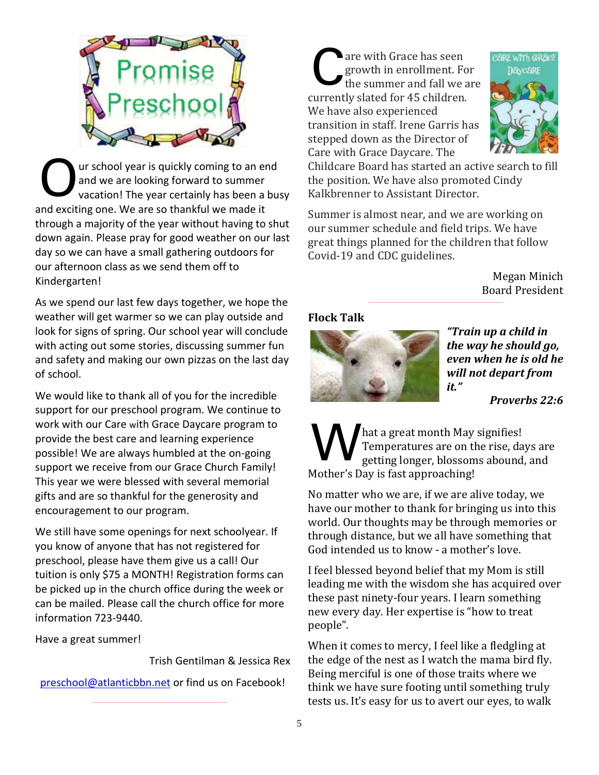

ur school year is quickly coming to an end and we are looking forward to summer vacation! The year certainly has been a busy and exciting one. We are so thankful we made it through a majority of the year without having to shut down again. Please pray for good weather on our last day so we can have a small gathering outdoors for our afternoon class as we send them off to Kindergarten! O

As we spend our last few days together, we hope the weather will get warmer so we can play outside and look for signs of spring. Our school year will conclude with acting out some stories, discussing summer fun and safety and making our own pizzas on the last day of school.

We would like to thank all of you for the incredible support for our preschool program. We continue to work with our Care with Grace Daycare program to provide the best care and learning experience possible! We are always humbled at the on-going support we receive from our Grace Church Family! This year we were blessed with several memorial gifts and are so thankful for the generosity and encouragement to our program.

We still have some openings for next schoolyear. If you know of anyone that has not registered for preschool, please have them give us a call! Our tuition is only \$75 a MONTH! Registration forms can be picked up in the church office during the week or can be mailed. Please call the church office for more information 723-9440.

Have a great summer!

Trish Gentilman & Jessica Rex

[preschool@atlanticbbn.net](mailto:preschool@atlanticbbn.net) or find us on Facebook!

are with Grace has seen growth in enrollment. For the summer and fall we are currently slated for 45 children. We have also experienced transition in staff. Irene Garris has stepped down as the Director of Care with Grace Daycare. The C



Childcare Board has started an active search to fill the position. We have also promoted Cindy Kalkbrenner to Assistant Director.

Summer is almost near, and we are working on our summer schedule and field trips. We have great things planned for the children that follow Covid-19 and CDC guidelines.

> Megan Minich Board President

# **Flock Talk**



*"Train up a child in the way he should go, even when he is old he will not depart from it."*

*Proverbs 22:6*

hat a great month May signifies! Temperatures are on the rise, days are getting longer, blossoms abound, and Mother's Day is fast approaching! W

No matter who we are, if we are alive today, we have our mother to thank for bringing us into this world. Our thoughts may be through memories or through distance, but we all have something that God intended us to know - a mother's love.

I feel blessed beyond belief that my Mom is still leading me with the wisdom she has acquired over these past ninety-four years. I learn something new every day. Her expertise is "how to treat people".

When it comes to mercy, I feel like a fledgling at the edge of the nest as I watch the mama bird fly. Being merciful is one of those traits where we think we have sure footing until something truly tests us. It's easy for us to avert our eyes, to walk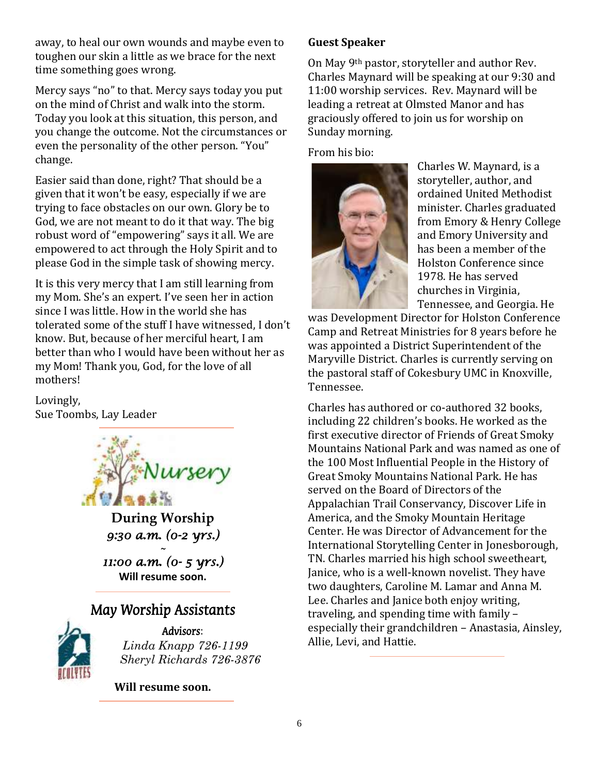away, to heal our own wounds and maybe even to toughen our skin a little as we brace for the next time something goes wrong.

Mercy says "no" to that. Mercy says today you put on the mind of Christ and walk into the storm. Today you look at this situation, this person, and you change the outcome. Not the circumstances or even the personality of the other person. "You" change.

Easier said than done, right? That should be a given that it won't be easy, especially if we are trying to face obstacles on our own. Glory be to God, we are not meant to do it that way. The big robust word of "empowering" says it all. We are empowered to act through the Holy Spirit and to please God in the simple task of showing mercy.

It is this very mercy that I am still learning from my Mom. She's an expert. I've seen her in action since I was little. How in the world she has tolerated some of the stuff I have witnessed, I don't know. But, because of her merciful heart, I am better than who I would have been without her as my Mom! Thank you, God, for the love of all mothers!

Lovingly, Sue Toombs, Lay Leader



**During Worship** *9:30 a.m. (0-2 yrs.) ~* 

*11:00 a.m. (0- 5 yrs.)*  **Will resume soon.**

# May Worship Assistants



Advisors: *Linda Knapp 726-1199 Sheryl Richards 726-3876*

**Will resume soon.**

# **Guest Speaker**

On May 9th pastor, storyteller and author Rev. Charles Maynard will be speaking at our 9:30 and 11:00 worship services. Rev. Maynard will be leading a retreat at Olmsted Manor and has graciously offered to join us for worship on Sunday morning.

From his bio:



Charles W. Maynard, is a storyteller, author, and ordained United Methodist minister. Charles graduated from Emory & Henry College and Emory University and has been a member of the Holston Conference since 1978. He has served churches in Virginia, Tennessee, and Georgia. He

was Development Director for Holston Conference Camp and Retreat Ministries for 8 years before he was appointed a District Superintendent of the Maryville District. Charles is currently serving on the pastoral staff of Cokesbury UMC in Knoxville, Tennessee.

Charles has authored or co-authored 32 books, including 22 children's books. He worked as the first executive director of Friends of Great Smoky Mountains National Park and was named as one of the 100 Most Influential People in the History of Great Smoky Mountains National Park. He has served on the Board of Directors of the Appalachian Trail Conservancy, Discover Life in America, and the Smoky Mountain Heritage Center. He was Director of Advancement for the International Storytelling Center in Jonesborough, TN. Charles married his high school sweetheart, Janice, who is a well-known novelist. They have two daughters, Caroline M. Lamar and Anna M. Lee. Charles and Janice both enjoy writing, traveling, and spending time with family – especially their grandchildren – Anastasia, Ainsley, Allie, Levi, and Hattie.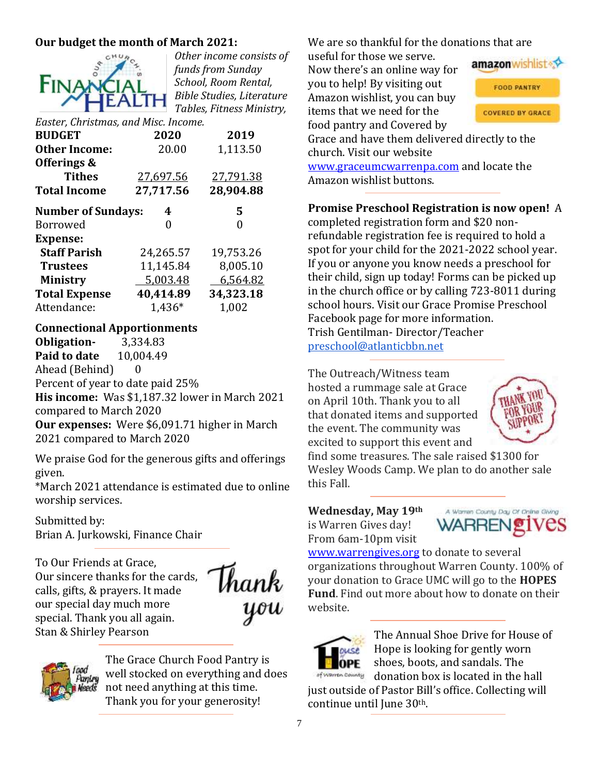# **Our budget the month of March 2021:**



*Other income consists of funds from Sunday School, Room Rental, Bible Studies, Literature Tables, Fitness Ministry,* 

*Easter, Christmas, and Misc. Income.* **BUDGET 2020 2019 Other Income:** 20.00 1,113.50 **Offerings & Tithes** 27,697.56 27,791.38 **Total Income 27,717.56 28,904.88 Number of Sundays: 4 5**  Borrowed 0 0 **Expense: Staff Parish** 24,265.57 19,753.26 **Trustees** 11,145.84 8,005.10 **Ministry** 5,003.48 6,564.82

**Total Expense 40,414.89 34,323.18** Attendance: 1,436\* 1,002

#### **Connectional Apportionments**

**Obligation-** 3,334.83 **Paid to date** 10,004.49 Ahead (Behind) 0 Percent of year to date paid 25% **His income:** Was \$1,187.32 lower in March 2021 compared to March 2020 **Our expenses:** Were \$6,091.71 higher in March 2021 compared to March 2020

We praise God for the generous gifts and offerings given.

\*March 2021 attendance is estimated due to online worship services.

Submitted by: Brian A. Jurkowski, Finance Chair

To Our Friends at Grace, Our sincere thanks for the cards, calls, gifts, & prayers. It made our special day much more special. Thank you all again. Stan & Shirley Pearson





The Grace Church Food Pantry is well stocked on everything and does not need anything at this time. Thank you for your generosity!

We are so thankful for the donations that are

useful for those we serve. Now there's an online way for you to help! By visiting out Amazon wishlist, you can buy items that we need for the food pantry and Covered by



Grace and have them delivered directly to the church. Visit our website

[www.graceumcwarrenpa.com](http://www.graceumcwarrenpa.com/) and locate the Amazon wishlist buttons.

**Promise Preschool Registration is now open!** A

completed registration form and \$20 nonrefundable registration fee is required to hold a spot for your child for the 2021-2022 school year. If you or anyone you know needs a preschool for their child, sign up today! Forms can be picked up in the church office or by calling 723-8011 during school hours. Visit our Grace Promise Preschool Facebook page for more information. Trish Gentilman- Director/Teacher [preschool@atlanticbbn.net](mailto:preschool@atlanticbbn.net)

The Outreach/Witness team hosted a rummage sale at Grace on April 10th. Thank you to all that donated items and supported the event. The community was excited to support this event and



find some treasures. The sale raised \$1300 for Wesley Woods Camp. We plan to do another sale this Fall.

**Wednesday, May 19th** is Warren Gives day! From 6am-10pm visit

A Warren County Day Of Online Giving

[www.warrengives.org](http://www.warrengives.org/) to donate to several organizations throughout Warren County. 100% of your donation to Grace UMC will go to the **HOPES Fund**. Find out more about how to donate on their website.



The Annual Shoe Drive for House of Hope is looking for gently worn shoes, boots, and sandals. The of warren county donation box is located in the hall

just outside of Pastor Bill's office. Collecting will continue until June 30th.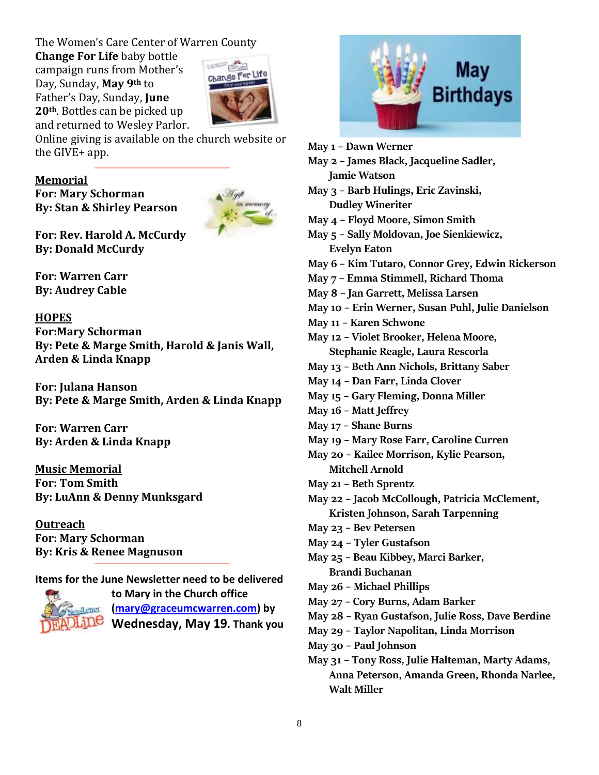The Women's Care Center of Warren County

**Change For Life** baby bottle campaign runs from Mother's Day, Sunday, **May 9th** to Father's Day, Sunday, **June 20th**. Bottles can be picked up and returned to Wesley Parlor.



Online giving is available on the church website or the GIVE+ app.

#### **Memorial**

**For: Mary Schorman By: Stan & Shirley Pearson**



**For: Rev. Harold A. McCurdy By: Donald McCurdy**

**For: Warren Carr By: Audrey Cable**

#### **HOPES**

**For:Mary Schorman By: Pete & Marge Smith, Harold & Janis Wall, Arden & Linda Knapp**

**For: Julana Hanson By: Pete & Marge Smith, Arden & Linda Knapp**

**For: Warren Carr By: Arden & Linda Knapp**

**Music Memorial For: Tom Smith By: LuAnn & Denny Munksgard**

**Outreach For: Mary Schorman By: Kris & Renee Magnuson**

**Items for the June Newsletter need to be delivered**



**to Mary in the Church office [\(mary@graceumcwarren.com\)](mailto:mary@graceumcwarren.com) by Wednesday, May 19. Thank you**



| May 1 - Dawn Werner                               |
|---------------------------------------------------|
| May 2 - James Black, Jacqueline Sadler,           |
| <b>Jamie Watson</b>                               |
| May 3 - Barb Hulings, Eric Zavinski,              |
| <b>Dudley Wineriter</b>                           |
| May 4 - Floyd Moore, Simon Smith                  |
| May 5 - Sally Moldovan, Joe Sienkiewicz,          |
| <b>Evelyn Eaton</b>                               |
| May 6 - Kim Tutaro, Connor Grey, Edwin Rickerson  |
| May 7 - Emma Stimmell, Richard Thoma              |
| May 8 - Jan Garrett, Melissa Larsen               |
| May 10 – Erin Werner, Susan Puhl, Julie Danielson |
| May 11 - Karen Schwone                            |
| May 12 - Violet Brooker, Helena Moore,            |
| Stephanie Reagle, Laura Rescorla                  |
| May 13 - Beth Ann Nichols, Brittany Saber         |
| May 14 - Dan Farr, Linda Clover                   |
| May 15 - Gary Fleming, Donna Miller               |
| May 16 - Matt Jeffrey                             |
| May 17 - Shane Burns                              |
| May 19 - Mary Rose Farr, Caroline Curren          |
| May 20 - Kailee Morrison, Kylie Pearson,          |
| <b>Mitchell Arnold</b>                            |
| May 21 - Beth Sprentz                             |
| May 22 - Jacob McCollough, Patricia McClement,    |
| Kristen Johnson, Sarah Tarpenning                 |
| May 23 - Bev Petersen                             |
| May 24 - Tyler Gustafson                          |
| May 25 - Beau Kibbey, Marci Barker,               |
| <b>Brandi Buchanan</b>                            |
| May 26 - Michael Phillips                         |
| May 27 - Cory Burns, Adam Barker                  |
| May 28 - Ryan Gustafson, Julie Ross, Dave Berdine |

- **May 29 – Taylor Napolitan, Linda Morrison**
- **May 30 – Paul Johnson**
- **May 31 – Tony Ross, Julie Halteman, Marty Adams, Anna Peterson, Amanda Green, Rhonda Narlee, Walt Miller**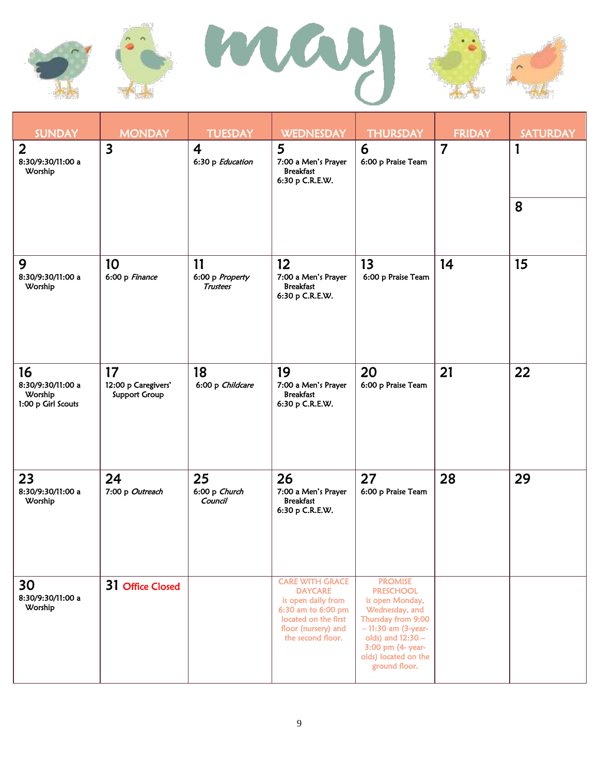





| <b>SUNDAY</b>                                            | <b>MONDAY</b>                                     | <b>TUESDAY</b>                           | <b>WEDNESDAY</b>                                                                                                                                         | <b>THURSDAY</b>                                                                                                                                                                                          | <b>FRIDAY</b>  | <b>SATURDAY</b> |
|----------------------------------------------------------|---------------------------------------------------|------------------------------------------|----------------------------------------------------------------------------------------------------------------------------------------------------------|----------------------------------------------------------------------------------------------------------------------------------------------------------------------------------------------------------|----------------|-----------------|
| $\overline{2}$<br>8:30/9:30/11:00 a<br>Worship           | $\overline{\mathbf{3}}$                           | $\overline{4}$<br>6:30 p Education       | 5<br>7:00 a Men's Prayer<br><b>Breakfast</b><br>6:30 p C.R.E.W.                                                                                          | 6<br>6:00 p Praise Team                                                                                                                                                                                  | $\overline{7}$ | 1<br>8          |
|                                                          |                                                   |                                          |                                                                                                                                                          |                                                                                                                                                                                                          |                |                 |
| 9<br>8:30/9:30/11:00 a<br>Worship                        | 10<br>6:00 p Finance                              | 11<br>6:00 p Property<br><b>Trustees</b> | 12 <sup>2</sup><br>7:00 a Men's Prayer<br><b>Breakfast</b><br>6:30 p C.R.E.W.                                                                            | 13<br>6:00 p Praise Team                                                                                                                                                                                 | 14             | 15              |
| 16<br>8:30/9:30/11:00 a<br>Worship<br>1:00 p Girl Scouts | 17<br>12:00 p Caregivers'<br><b>Support Group</b> | 18<br>6:00 p Childcare                   | 19<br>7:00 a Men's Prayer<br><b>Breakfast</b><br>6:30 p C.R.E.W.                                                                                         | 20<br>6:00 p Praise Team                                                                                                                                                                                 | 21             | 22              |
| 23<br>8:30/9:30/11:00 a<br>Worship                       | 24<br>7:00 p Outreach                             | 25<br>6:00 p Church<br>Council           | 26<br>7:00 a Men's Prayer<br><b>Breakfast</b><br>6:30 p C.R.E.W.                                                                                         | 27<br>6:00 p Praise Team                                                                                                                                                                                 | 28             | 29              |
| 30<br>8:30/9:30/11:00 a<br>Worship                       | 31 Office Closed                                  |                                          | <b>CARE WITH GRACE</b><br><b>DAYCARE</b><br>is open daily from<br>6:30 am to 6:00 pm<br>located on the first<br>floor (nursery) and<br>the second floor. | <b>PROMISE</b><br><b>PRESCHOOL</b><br>is open Monday,<br>Wednesday, and<br>Thursday from 9:00<br>$-11:30$ am (3-year-<br>olds) and 12:30 -<br>3:00 pm (4- year-<br>olds) located on the<br>ground floor. |                |                 |